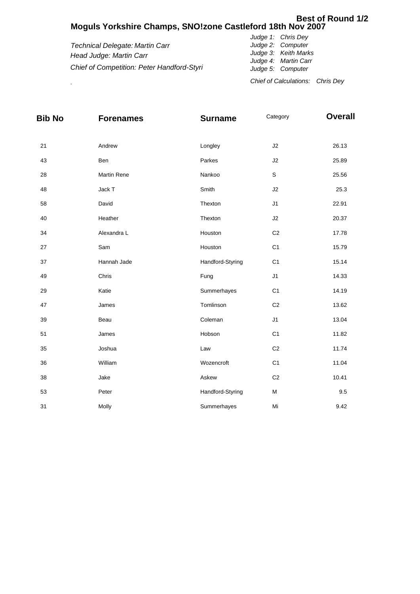## **Moguls Yorkshire Champs, SNO!zone Castleford 18th Nov 2007 Best of Round 1/2**

|                                            | Chief of Calculations: Chris Dev             |
|--------------------------------------------|----------------------------------------------|
| Chief of Competition: Peter Handford-Styri | Judge 5: Computer                            |
| Head Judge: Martin Carr                    | Judge 3: Keith Marks<br>Judge 4: Martin Carr |
| Technical Delegate: Martin Carr            | Judge 2: Computer                            |
|                                            | Judge 1: Chris Dey                           |

| <b>Bib No</b> | <b>Forenames</b> | <b>Surname</b>   | Category       | <b>Overall</b> |
|---------------|------------------|------------------|----------------|----------------|
|               |                  |                  |                |                |
| 21            | Andrew           | Longley          | $\sf J2$       | 26.13          |
| 43            | Ben              | Parkes           | J2             | 25.89          |
| 28            | Martin Rene      | Nankoo           | $\mathsf S$    | 25.56          |
| 48            | Jack T           | Smith            | J2             | 25.3           |
| 58            | David            | Thexton          | J1             | 22.91          |
| 40            | Heather          | Thexton          | J2             | 20.37          |
| 34            | Alexandra L      | Houston          | C <sub>2</sub> | 17.78          |
| 27            | Sam              | Houston          | C <sub>1</sub> | 15.79          |
| 37            | Hannah Jade      | Handford-Styring | C <sub>1</sub> | 15.14          |
| 49            | Chris            | Fung             | J1             | 14.33          |
| 29            | Katie            | Summerhayes      | C <sub>1</sub> | 14.19          |
| 47            | James            | Tomlinson        | C <sub>2</sub> | 13.62          |
| 39            | Beau             | Coleman          | J1             | 13.04          |
| 51            | James            | Hobson           | C <sub>1</sub> | 11.82          |
| 35            | Joshua           | Law              | C <sub>2</sub> | 11.74          |
| 36            | William          | Wozencroft       | C <sub>1</sub> | 11.04          |
| 38            | Jake             | Askew            | C <sub>2</sub> | 10.41          |
| 53            | Peter            | Handford-Styring | M              | 9.5            |
| 31            | Molly            | Summerhayes      | Mi             | 9.42           |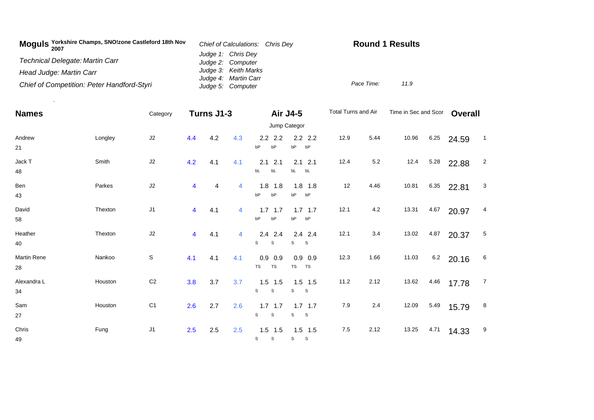| Moguls Yorkshire Champs, SNO!zone Castleford 18th Nov<br>2007 | Chief of Calculations: Chris Dev | <b>Round 1 Results</b> |  |  |  |
|---------------------------------------------------------------|----------------------------------|------------------------|--|--|--|
|                                                               | Judge 1: Chris Dey               |                        |  |  |  |
| Technical Delegate: Martin Carr                               | Judge 2: Computer                |                        |  |  |  |
| Head Judge: Martin Carr                                       | Judge 3: Keith Marks             |                        |  |  |  |
|                                                               | Judge 4: Martin Carr             |                        |  |  |  |
| Chief of Competition: Peter Handford-Styri                    | Judge 5: Computer                | Pace Time:<br>11.9     |  |  |  |

.

| <b>Names</b>       |         | Category       |                | Turns J1-3 |                |                  | Air J4-5          | Total Turns and Air |       | Time in Sec and Scor |      | <b>Overall</b> |                |
|--------------------|---------|----------------|----------------|------------|----------------|------------------|-------------------|---------------------|-------|----------------------|------|----------------|----------------|
|                    |         | Jump Categor   |                |            |                |                  |                   |                     |       |                      |      |                |                |
| Andrew             | Longley | J2             | 4.4            | 4.2        | 4.3            | $2.2$ 2.2        | $2.2$ 2.2         | 12.9                | 5.44  | 10.96                | 6.25 | 24.59          | $\overline{1}$ |
| 21                 |         |                |                |            |                | bP<br>bP         | bP<br>bP          |                     |       |                      |      |                |                |
| Jack T             | Smith   | $\sf J2$       | 4.2            | 4.1        | 4.1            | 2.1<br>2.1       | $2.1$ $2.1$       | 12.4                | 5.2   | 12.4                 | 5.28 | 22.88          | $\overline{c}$ |
| 48                 |         |                |                |            |                | bL<br>bL         | bL bL             |                     |       |                      |      |                |                |
| Ben                | Parkes  | J2             | 4              | 4          | $\overline{4}$ | $1.8$ 1.8        | $1.8$ 1.8         | 12                  | 4.46  | 10.81                | 6.35 | 22.81          | $\mathbf{3}$   |
| 43                 |         |                |                |            |                | bP<br>bP         | bP<br>bP          |                     |       |                      |      |                |                |
| David              | Thexton | J1             | $\overline{4}$ | 4.1        | $\overline{4}$ | $1.7$ 1.7        | $1.7$ 1.7         | 12.1                | 4.2   | 13.31                | 4.67 | 20.97          | $\overline{4}$ |
| 58                 |         |                |                |            |                | bP<br>bP         | bP<br>bP          |                     |       |                      |      |                |                |
| Heather            | Thexton | J2             | 4              | 4.1        | $\overline{4}$ | $2.4$ 2.4        | $2.4$ 2.4         | 12.1                | $3.4$ | 13.02                | 4.87 | 20.37          | $\overline{5}$ |
| 40                 |         |                |                |            |                | S<br>S           | S<br>$\mathbf{s}$ |                     |       |                      |      |                |                |
| <b>Martin Rene</b> | Nankoo  | S              | 4.1            | 4.1        | 4.1            | $0.9$ 0.9        | $0.9$ 0.9         | 12.3                | 1.66  | 11.03                | 6.2  | 20.16          | 6              |
| 28                 |         |                |                |            |                | TS<br>TS         | TS<br><b>TS</b>   |                     |       |                      |      |                |                |
| Alexandra L        | Houston | C <sub>2</sub> | 3.8            | 3.7        | 3.7            | $1.5$ 1.5        | $1.5$ 1.5         | 11.2                | 2.12  | 13.62                | 4.46 | 17.78          | $\overline{7}$ |
| 34                 |         |                |                |            |                | $\mathbb S$<br>s | S<br>$\mathbf{s}$ |                     |       |                      |      |                |                |
| Sam                | Houston | C <sub>1</sub> | 2.6            | 2.7        | 2.6            | $1.7$ 1.7        | $1.7$ 1.7         | 7.9                 | 2.4   | 12.09                | 5.49 | 15.79          | 8              |
| 27                 |         |                |                |            |                | $\mathbb S$<br>s | $\mathbb S$<br>S  |                     |       |                      |      |                |                |
| Chris              | Fung    | J1             | 2.5            | 2.5        | 2.5            | $1.5$ 1.5        | $1.5$ 1.5         | 7.5                 | 2.12  | 13.25                | 4.71 | 14.33          | 9              |
| 49                 |         |                |                |            |                | S<br>s           | S<br>$\mathbf{s}$ |                     |       |                      |      |                |                |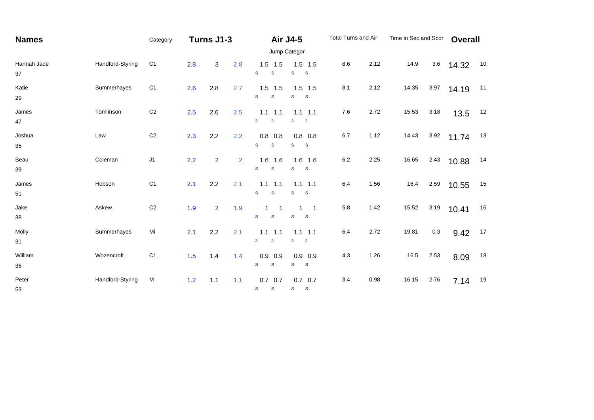| <b>Names</b>      |                  | Category       | Turns J1-3 |                |                |                                | Air J4-5                                             | Total Turns and Air |      | Time in Sec and Scor |      | <b>Overall</b> |    |
|-------------------|------------------|----------------|------------|----------------|----------------|--------------------------------|------------------------------------------------------|---------------------|------|----------------------|------|----------------|----|
|                   |                  | Jump Categor   |            |                |                |                                |                                                      |                     |      |                      |      |                |    |
| Hannah Jade<br>37 | Handford-Styring | C <sub>1</sub> | 2.8        | 3              | 2.8            | $1.5$ 1.5<br>S<br>$\mathsf S$  | $1.5$ 1.5<br>$\mathsf S$<br>S                        | 8.6                 | 2.12 | 14.9                 | 3.6  | 14.32          | 10 |
| Katie<br>29       | Summerhayes      | C <sub>1</sub> | 2.6        | 2.8            | 2.7            | $1.5$ 1.5<br>S<br>S            | $1.5$ 1.5<br>S<br>$\mathbf{s}$                       | 8.1                 | 2.12 | 14.35                | 3.97 | 14.19          | 11 |
| James<br>47       | Tomlinson        | C <sub>2</sub> | 2.5        | 2.6            | 2.5            | $1.1$ 1.1<br>3<br>3            | $1.1$ 1.1<br>3<br>3                                  | $7.6$               | 2.72 | 15.53                | 3.18 | 13.5           | 12 |
| Joshua<br>$35\,$  | Law              | C <sub>2</sub> | 2.3        | 2.2            | 2.2            | $0.8$ 0.8<br>S<br>S            | $0.8$ 0.8<br>S<br>$\mathbf{s}$                       | 6.7                 | 1.12 | 14.43                | 3.92 | 11.74          | 13 |
| Beau<br>39        | Coleman          | $\sf J1$       | 2.2        | $\overline{a}$ | $\overline{2}$ | $1.6$ 1.6<br>S<br>$\mathsf s$  | $1.6$ 1.6<br>S<br>S                                  | $6.2\,$             | 2.25 | 16.65                | 2.43 | 10.88          | 14 |
| James<br>51       | Hobson           | C <sub>1</sub> | 2.1        | 2.2            | 2.1            | $1.1$ 1.1<br>S<br>$\mathbb S$  | $1.1$ 1.1<br>S<br>$\mathbf{s}$                       | 6.4                 | 1.56 | 16.4                 | 2.59 | 10.55          | 15 |
| Jake<br>38        | Askew            | C <sub>2</sub> | 1.9        | $\overline{2}$ | 1.9            | S<br>S                         | $\overline{\phantom{0}}$<br>1<br>S<br>S              | 5.8                 | 1.42 | 15.52                | 3.19 | 10.41          | 16 |
| Molly<br>31       | Summerhayes      | Mi             | 2.1        | 2.2            | 2.1            | $1.1$ 1.1<br>3<br>$\mathbf{3}$ | $1.1$ 1.1<br>$\mathbf{3}$<br>$\overline{\mathbf{3}}$ | 6.4                 | 2.72 | 19.81                | 0.3  | 9.42           | 17 |
| William<br>36     | Wozencroft       | C <sub>1</sub> | 1.5        | 1.4            | 1.4            | $0.9$ 0.9<br>s<br>S            | $0.9$ 0.9<br>S<br>S                                  | 4.3                 | 1.26 | 16.5                 | 2.53 | 8.09           | 18 |
| Peter<br>53       | Handford-Styring | M              | 1.2        | 1.1            | 1.1            | $0.7$ 0.7<br>S<br>S            | $0.7$ 0.7<br>S<br><b>S</b>                           | 3.4                 | 0.98 | 16.15                | 2.76 | 7.14           | 19 |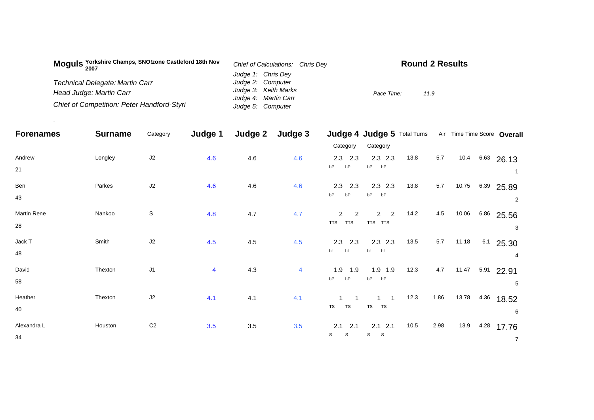| Moguls Yorkshire Champs, SNO!zone Castleford 18th Nov<br>2007 | Chief of Calculations: Chris Dev | <b>Round 2 Results</b> |  |  |  |  |
|---------------------------------------------------------------|----------------------------------|------------------------|--|--|--|--|
|                                                               | Judge 1: Chris Dey               |                        |  |  |  |  |
| <b>Technical Delegate: Martin Carr</b>                        | Judge 2: Computer                |                        |  |  |  |  |
| Head Judge: Martin Carr                                       | Judge 3: Keith Marks             | Pace Time:<br>11.9     |  |  |  |  |
|                                                               | Judge 4: Martin Carr             |                        |  |  |  |  |
| Chief of Competition: Peter Handford-Styri                    | Judge 5: Computer                |                        |  |  |  |  |

.

| <b>Forenames</b> | <b>Surname</b> | Category       | Judge 1        | Judge 2 | Judge 3 |                          | Judge 4 Judge 5 Total Turns |      |         |       |      | Air Time Time Score Overall |
|------------------|----------------|----------------|----------------|---------|---------|--------------------------|-----------------------------|------|---------|-------|------|-----------------------------|
|                  |                |                |                |         |         | Category                 | Category                    |      |         |       |      |                             |
| Andrew           | Longley        | J2             | 4.6            | 4.6     | 4.6     | $2.3$ 2.3                | $2.3$ $2.3$                 | 13.8 | 5.7     |       |      | $10.4$ 6.63 26.13           |
| 21               |                |                |                |         |         | bP<br>bP                 | bP<br>bP                    |      |         |       |      |                             |
| Ben              | Parkes         | J2             | 4.6            | 4.6     | 4.6     | $2.3$ 2.3                | $2.3$ $2.3$                 | 13.8 | $5.7\,$ | 10.75 |      | 6.39 25.89                  |
| 43               |                |                |                |         |         | bP<br>bP                 | bP<br>bP                    |      |         |       |      | 2                           |
| Martin Rene      | Nankoo         | $\mathbb S$    | 4.8            | 4.7     | 4.7     | 2<br>$\overline{2}$      | $\overline{2}$<br>2         | 14.2 | 4.5     | 10.06 |      | 6.86 25.56                  |
| 28               |                |                |                |         |         | <b>TTS</b><br><b>TTS</b> | TTS TTS                     |      |         |       |      | 3                           |
| Jack T           | Smith          | J2             | 4.5            | 4.5     | 4.5     | $2.3$ 2.3                | $2.3$ $2.3$                 | 13.5 | $5.7\,$ | 11.18 |      | $6.1$ 25.30                 |
| 48               |                |                |                |         |         | bL<br>bL                 | bL bL                       |      |         |       |      | 4                           |
| David            | Thexton        | J1             | $\overline{4}$ | 4.3     | 4       | 1.9<br>1.9               | $1.9$ 1.9                   | 12.3 | 4.7     | 11.47 | 5.91 | 22.91                       |
| 58               |                |                |                |         |         | bP<br>bP                 | bP<br>bP                    |      |         |       |      | 5                           |
| Heather          | Thexton        | J2             | 4.1            | 4.1     | 4.1     |                          |                             | 12.3 | 1.86    | 13.78 | 4.36 | 18.52                       |
| 40               |                |                |                |         |         | TS<br>TS                 | TS<br>TS                    |      |         |       |      | 6                           |
| Alexandra L      | Houston        | C <sub>2</sub> | 3.5            | 3.5     | 3.5     | 2.1<br>2.1               | $2.1$ $2.1$                 | 10.5 | 2.98    | 13.9  | 4.28 | 17.76                       |
| 34               |                |                |                |         |         | S<br>S                   | s<br>S                      |      |         |       |      | $\overline{7}$              |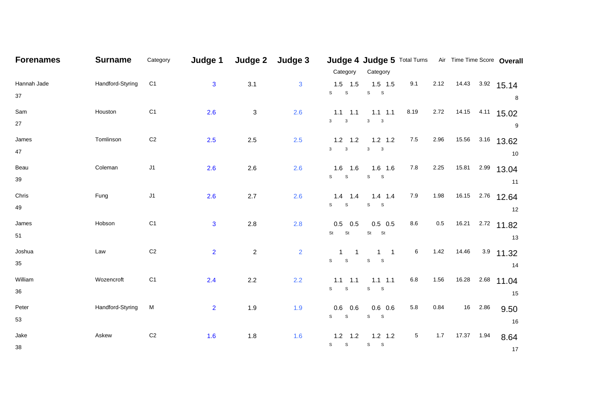| <b>Forenames</b>  | <b>Surname</b>   | Category       | Judge 1        | Judge 2        | Judge 3        |                                         | Judge 4 Judge 5 Total Turns Air Time Time Score Overall |                 |         |                        |      |                       |
|-------------------|------------------|----------------|----------------|----------------|----------------|-----------------------------------------|---------------------------------------------------------|-----------------|---------|------------------------|------|-----------------------|
| Hannah Jade       | Handford-Styring | C <sub>1</sub> | $\mathbf{3}$   | 3.1            | 3              | Category<br>$1.5$ 1.5<br>S<br>${\tt S}$ | Category<br>$1.5$ 1.5<br>${\bf S}$ ${\bf S}$            | 9.1             | 2.12    | $14.43$ $3.92$ $15.14$ |      |                       |
| 37<br>Sam         | Houston          | C <sub>1</sub> | 2.6            | $\mathbf{3}$   | 2.6            | $1.1$ 1.1                               | $1.1$ 1.1                                               | 8.19            | 2.72    |                        |      | 8<br>14.15 4.11 15.02 |
| 27                |                  |                |                |                |                | $\mathbf{3}$<br>$\mathbf{3}$            | $\mathbf{3}$<br>$\overline{\phantom{a}}$                |                 |         |                        |      | $\boldsymbol{9}$      |
| James<br>47       | Tomlinson        | C <sub>2</sub> | 2.5            | $2.5\,$        | 2.5            | $1.2$ 1.2<br>$3 \qquad 3$               | $1.2$ 1.2<br>$\mathbf{3}$<br>$\overline{\phantom{a}}$   | 7.5             | 2.96    | 15.56                  |      | $3.16$ 13.62<br>10    |
| Beau<br>39        | Coleman          | J1             | 2.6            | 2.6            | 2.6            | $1.6$ 1.6<br>$S$ $S$                    | $1.6$ 1.6<br>$S$ $S$                                    | 7.8             | 2.25    | 15.81                  |      | $2.99$ 13.04<br>11    |
| Chris<br>49       | Fung             | J1             | 2.6            | 2.7            | 2.6            | $1.4$ 1.4<br>$S$ $S$                    | $1.4$ 1.4<br>$S$ $S$                                    | 7.9             | 1.98    | 16.15                  |      | $2.76$ 12.64<br>12    |
| James<br>51       | Hobson           | C <sub>1</sub> | $\mathbf{3}$   | $2.8\,$        | 2.8            | $0.5$ 0.5<br><b>St</b><br><b>St</b>     | $0.5$ 0.5<br>St St                                      | 8.6             | $0.5\,$ | 16.21                  |      | $2.72$ 11.82<br>13    |
| Joshua<br>35      | Law              | $\mbox{C2}$    | $\overline{2}$ | $\overline{c}$ | $\overline{2}$ | $1 \quad 1$<br>$S$ $S$                  | $1 \quad 1$<br>${\tt S}$<br>$\mathbf{s}$                | $6\phantom{.0}$ | 1.42    | 14.46                  |      | $3.9$ 11.32<br>14     |
| William<br>$36\,$ | Wozencroft       | C <sub>1</sub> | 2.4            | 2.2            | 2.2            | $1.1$ 1.1<br>$S$ $S$                    | $1.1$ 1.1<br>${\tt S}$<br>$^{\circ}$ S                  | 6.8             | 1.56    | 16.28                  | 2.68 | 11.04<br>15           |
| Peter<br>53       | Handford-Styring | M              | $\overline{2}$ | 1.9            | 1.9            | 0.6<br>0.6<br>$S$ $S$                   | $0.6$ 0.6<br>$S$ $S$                                    | 5.8             | 0.84    | 16                     | 2.86 | 9.50<br>16            |
| Jake<br>$38\,$    | Askew            | $\mbox{C2}$    | 1.6            | 1.8            | 1.6            | $1.2$ 1.2<br>${\tt S}$ ${\tt S}$        | $1.2$ 1.2<br>${\sf S}$ ${\sf S}$                        | 5               | 1.7     | 17.37  1.94            |      | 8.64<br>- 17          |